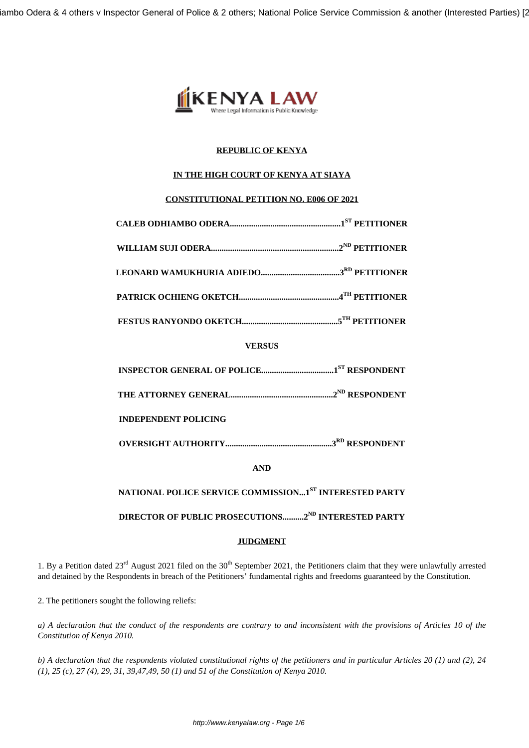

# **REPUBLIC OF KENYA**

# **IN THE HIGH COURT OF KENYA AT SIAYA**

# **CONSTITUTIONAL PETITION NO. E006 OF 2021**

**VERSUS**

|--|--|

**THE ATTORNEY GENERAL................................................2ND RESPONDENT**

**INDEPENDENT POLICING**

**OVERSIGHT AUTHORITY..................................................3RD RESPONDENT**

**AND**

**NATIONAL POLICE SERVICE COMMISSION...1ST INTERESTED PARTY**

**DIRECTOR OF PUBLIC PROSECUTIONS..........2ND INTERESTED PARTY**

## **JUDGMENT**

1. By a Petition dated  $23^{rd}$  August 2021 filed on the  $30^{th}$  September 2021, the Petitioners claim that they were unlawfully arrested and detained by the Respondents in breach of the Petitioners' fundamental rights and freedoms guaranteed by the Constitution.

2. The petitioners sought the following reliefs:

*a) A declaration that the conduct of the respondents are contrary to and inconsistent with the provisions of Articles 10 of the Constitution of Kenya 2010.*

*b) A declaration that the respondents violated constitutional rights of the petitioners and in particular Articles 20 (1) and (2), 24 (1), 25 (c), 27 (4), 29, 31, 39,47,49, 50 (1) and 51 of the Constitution of Kenya 2010.*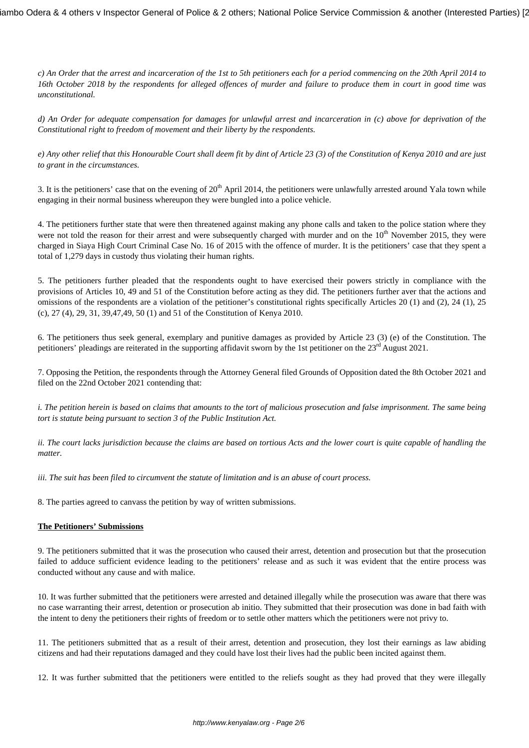iambo Odera & 4 others v Inspector General of Police & 2 others; National Police Service Commission & another (Interested Parties) [2

*c) An Order that the arrest and incarceration of the 1st to 5th petitioners each for a period commencing on the 20th April 2014 to 16th October 2018 by the respondents for alleged offences of murder and failure to produce them in court in good time was unconstitutional.*

*d) An Order for adequate compensation for damages for unlawful arrest and incarceration in (c) above for deprivation of the Constitutional right to freedom of movement and their liberty by the respondents.*

*e) Any other relief that this Honourable Court shall deem fit by dint of Article 23 (3) of the Constitution of Kenya 2010 and are just to grant in the circumstances.*

3. It is the petitioners' case that on the evening of  $20<sup>th</sup>$  April 2014, the petitioners were unlawfully arrested around Yala town while engaging in their normal business whereupon they were bungled into a police vehicle.

4. The petitioners further state that were then threatened against making any phone calls and taken to the police station where they were not told the reason for their arrest and were subsequently charged with murder and on the  $10<sup>th</sup>$  November 2015, they were charged in Siaya High Court Criminal Case No. 16 of 2015 with the offence of murder. It is the petitioners' case that they spent a total of 1,279 days in custody thus violating their human rights.

5. The petitioners further pleaded that the respondents ought to have exercised their powers strictly in compliance with the provisions of Articles 10, 49 and 51 of the Constitution before acting as they did. The petitioners further aver that the actions and omissions of the respondents are a violation of the petitioner's constitutional rights specifically Articles 20 (1) and (2), 24 (1), 25 (c), 27 (4), 29, 31, 39,47,49, 50 (1) and 51 of the Constitution of Kenya 2010.

6. The petitioners thus seek general, exemplary and punitive damages as provided by Article 23 (3) (e) of the Constitution. The petitioners' pleadings are reiterated in the supporting affidavit sworn by the 1st petitioner on the 23<sup>rd</sup> August 2021.

7. Opposing the Petition, the respondents through the Attorney General filed Grounds of Opposition dated the 8th October 2021 and filed on the 22nd October 2021 contending that:

*i. The petition herein is based on claims that amounts to the tort of malicious prosecution and false imprisonment. The same being tort is statute being pursuant to section 3 of the Public Institution Act.*

*ii. The court lacks jurisdiction because the claims are based on tortious Acts and the lower court is quite capable of handling the matter.*

*iii. The suit has been filed to circumvent the statute of limitation and is an abuse of court process.*

8. The parties agreed to canvass the petition by way of written submissions.

## **The Petitioners' Submissions**

9. The petitioners submitted that it was the prosecution who caused their arrest, detention and prosecution but that the prosecution failed to adduce sufficient evidence leading to the petitioners' release and as such it was evident that the entire process was conducted without any cause and with malice.

10. It was further submitted that the petitioners were arrested and detained illegally while the prosecution was aware that there was no case warranting their arrest, detention or prosecution ab initio. They submitted that their prosecution was done in bad faith with the intent to deny the petitioners their rights of freedom or to settle other matters which the petitioners were not privy to.

11. The petitioners submitted that as a result of their arrest, detention and prosecution, they lost their earnings as law abiding citizens and had their reputations damaged and they could have lost their lives had the public been incited against them.

12. It was further submitted that the petitioners were entitled to the reliefs sought as they had proved that they were illegally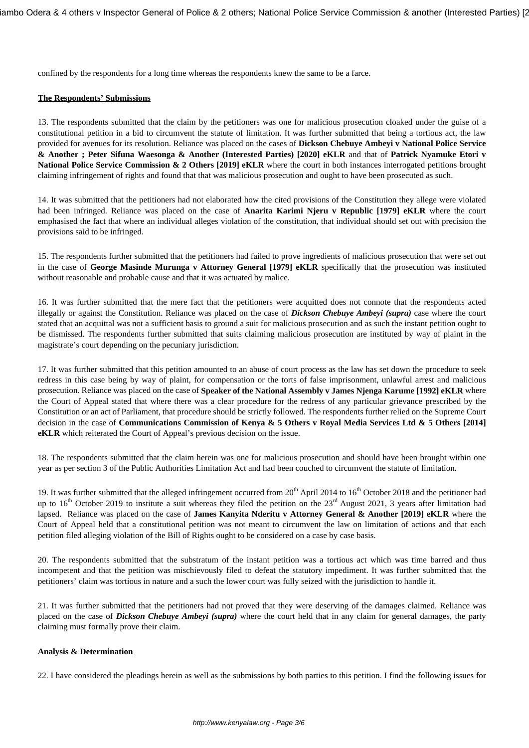confined by the respondents for a long time whereas the respondents knew the same to be a farce.

#### **The Respondents' Submissions**

13. The respondents submitted that the claim by the petitioners was one for malicious prosecution cloaked under the guise of a constitutional petition in a bid to circumvent the statute of limitation. It was further submitted that being a tortious act, the law provided for avenues for its resolution. Reliance was placed on the cases of **Dickson Chebuye Ambeyi v National Police Service & Another ; Peter Sifuna Waesonga & Another (Interested Parties) [2020] eKLR** and that of **Patrick Nyamuke Etori v National Police Service Commission & 2 Others [2019] eKLR** where the court in both instances interrogated petitions brought claiming infringement of rights and found that that was malicious prosecution and ought to have been prosecuted as such.

14. It was submitted that the petitioners had not elaborated how the cited provisions of the Constitution they allege were violated had been infringed. Reliance was placed on the case of **Anarita Karimi Njeru v Republic [1979] eKLR** where the court emphasised the fact that where an individual alleges violation of the constitution, that individual should set out with precision the provisions said to be infringed.

15. The respondents further submitted that the petitioners had failed to prove ingredients of malicious prosecution that were set out in the case of **George Masinde Murunga v Attorney General [1979] eKLR** specifically that the prosecution was instituted without reasonable and probable cause and that it was actuated by malice.

16. It was further submitted that the mere fact that the petitioners were acquitted does not connote that the respondents acted illegally or against the Constitution. Reliance was placed on the case of *Dickson Chebuye Ambeyi (supra)* case where the court stated that an acquittal was not a sufficient basis to ground a suit for malicious prosecution and as such the instant petition ought to be dismissed. The respondents further submitted that suits claiming malicious prosecution are instituted by way of plaint in the magistrate's court depending on the pecuniary jurisdiction.

17. It was further submitted that this petition amounted to an abuse of court process as the law has set down the procedure to seek redress in this case being by way of plaint, for compensation or the torts of false imprisonment, unlawful arrest and malicious prosecution. Reliance was placed on the case of **Speaker of the National Assembly v James Njenga Karume [1992] eKLR** where the Court of Appeal stated that where there was a clear procedure for the redress of any particular grievance prescribed by the Constitution or an act of Parliament, that procedure should be strictly followed. The respondents further relied on the Supreme Court decision in the case of **Communications Commission of Kenya & 5 Others v Royal Media Services Ltd & 5 Others [2014] eKLR** which reiterated the Court of Appeal's previous decision on the issue.

18. The respondents submitted that the claim herein was one for malicious prosecution and should have been brought within one year as per section 3 of the Public Authorities Limitation Act and had been couched to circumvent the statute of limitation.

19. It was further submitted that the alleged infringement occurred from 20<sup>th</sup> April 2014 to 16<sup>th</sup> October 2018 and the petitioner had up to  $16<sup>th</sup>$  October 2019 to institute a suit whereas they filed the petition on the  $23<sup>rd</sup>$  August 2021, 3 years after limitation had lapsed. Reliance was placed on the case of **James Kanyita Nderitu v Attorney General & Another [2019] eKLR** where the Court of Appeal held that a constitutional petition was not meant to circumvent the law on limitation of actions and that each petition filed alleging violation of the Bill of Rights ought to be considered on a case by case basis.

20. The respondents submitted that the substratum of the instant petition was a tortious act which was time barred and thus incompetent and that the petition was mischievously filed to defeat the statutory impediment. It was further submitted that the petitioners' claim was tortious in nature and a such the lower court was fully seized with the jurisdiction to handle it.

21. It was further submitted that the petitioners had not proved that they were deserving of the damages claimed. Reliance was placed on the case of *Dickson Chebuye Ambeyi (supra)* where the court held that in any claim for general damages, the party claiming must formally prove their claim.

## **Analysis & Determination**

22. I have considered the pleadings herein as well as the submissions by both parties to this petition. I find the following issues for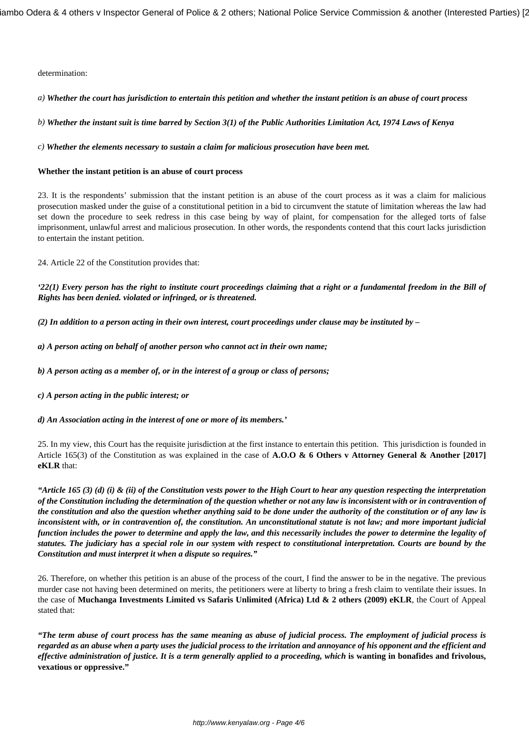determination:

*a) Whether the court has jurisdiction to entertain this petition and whether the instant petition is an abuse of court process* 

*b) Whether the instant suit is time barred by Section 3(1) of the Public Authorities Limitation Act, 1974 Laws of Kenya*

*c) Whether the elements necessary to sustain a claim for malicious prosecution have been met.*

## **Whether the instant petition is an abuse of court process**

23. It is the respondents' submission that the instant petition is an abuse of the court process as it was a claim for malicious prosecution masked under the guise of a constitutional petition in a bid to circumvent the statute of limitation whereas the law had set down the procedure to seek redress in this case being by way of plaint, for compensation for the alleged torts of false imprisonment, unlawful arrest and malicious prosecution. In other words, the respondents contend that this court lacks jurisdiction to entertain the instant petition.

24. Article 22 of the Constitution provides that:

*'22(1) Every person has the right to institute court proceedings claiming that a right or a fundamental freedom in the Bill of Rights has been denied. violated or infringed, or is threatened.*

*(2) In addition to a person acting in their own interest, court proceedings under clause may be instituted by –*

- *a) A person acting on behalf of another person who cannot act in their own name;*
- *b) A person acting as a member of, or in the interest of a group or class of persons;*
- *c) A person acting in the public interest; or*

*d) An Association acting in the interest of one or more of its members.'*

25. In my view, this Court has the requisite jurisdiction at the first instance to entertain this petition. This jurisdiction is founded in Article 165(3) of the Constitution as was explained in the case of **A.O.O & 6 Others v Attorney General & Another [2017] eKLR** that:

*"Article 165 (3) (d) (i) & (ii) of the Constitution vests power to the High Court to hear any question respecting the interpretation of the Constitution including the determination of the question whether or not any law is inconsistent with or in contravention of the constitution and also the question whether anything said to be done under the authority of the constitution or of any law is inconsistent with, or in contravention of, the constitution. An unconstitutional statute is not law; and more important judicial function includes the power to determine and apply the law, and this necessarily includes the power to determine the legality of statutes. The judiciary has a special role in our system with respect to constitutional interpretation. Courts are bound by the Constitution and must interpret it when a dispute so requires."*

26. Therefore, on whether this petition is an abuse of the process of the court, I find the answer to be in the negative. The previous murder case not having been determined on merits, the petitioners were at liberty to bring a fresh claim to ventilate their issues. In the case of **Muchanga Investments Limited vs Safaris Unlimited (Africa) Ltd & 2 others (2009) eKLR**, the Court of Appeal stated that:

*"The term abuse of court process has the same meaning as abuse of judicial process. The employment of judicial process is regarded as an abuse when a party uses the judicial process to the irritation and annoyance of his opponent and the efficient and effective administration of justice. It is a term generally applied to a proceeding, which* **is wanting in bonafides and frivolous, vexatious or oppressive."**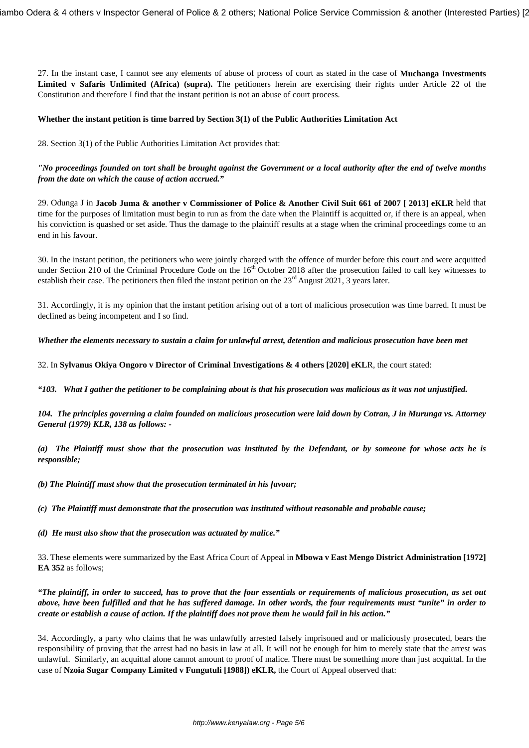27. In the instant case, I cannot see any elements of abuse of process of court as stated in the case of **Muchanga Investments Limited v Safaris Unlimited (Africa) (supra).** The petitioners herein are exercising their rights under Article 22 of the Constitution and therefore I find that the instant petition is not an abuse of court process.

#### **Whether the instant petition is time barred by Section 3(1) of the Public Authorities Limitation Act**

28. Section 3(1) of the Public Authorities Limitation Act provides that:

*"No proceedings founded on tort shall be brought against the Government or a local authority after the end of twelve months from the date on which the cause of action accrued."*

29. Odunga J in **Jacob Juma & another v Commissioner of Police & Another Civil Suit 661 of 2007 [ 2013] eKLR** held that time for the purposes of limitation must begin to run as from the date when the Plaintiff is acquitted or, if there is an appeal, when his conviction is quashed or set aside. Thus the damage to the plaintiff results at a stage when the criminal proceedings come to an end in his favour.

30. In the instant petition, the petitioners who were jointly charged with the offence of murder before this court and were acquitted under Section 210 of the Criminal Procedure Code on the 16<sup>th</sup> October 2018 after the prosecution failed to call key witnesses to establish their case. The petitioners then filed the instant petition on the 23<sup>rd</sup> August 2021, 3 years later.

31. Accordingly, it is my opinion that the instant petition arising out of a tort of malicious prosecution was time barred. It must be declined as being incompetent and I so find.

*Whether the elements necessary to sustain a claim for unlawful arrest, detention and malicious prosecution have been met*

32. In **Sylvanus Okiya Ongoro v Director of Criminal Investigations & 4 others [2020] eKL**R, the court stated:

*"103. What I gather the petitioner to be complaining about is that his prosecution was malicious as it was not unjustified.*

*104. The principles governing a claim founded on malicious prosecution were laid down by Cotran, J in Murunga vs. Attorney General (1979) KLR, 138 as follows: -*

*(a) The Plaintiff must show that the prosecution was instituted by the Defendant, or by someone for whose acts he is responsible;*

*(b) The Plaintiff must show that the prosecution terminated in his favour;*

*(c) The Plaintiff must demonstrate that the prosecution was instituted without reasonable and probable cause;* 

*(d) He must also show that the prosecution was actuated by malice."*

33. These elements were summarized by the East Africa Court of Appeal in **Mbowa v East Mengo District Administration [1972] EA 352** as follows;

*"The plaintiff, in order to succeed, has to prove that the four essentials or requirements of malicious prosecution, as set out above, have been fulfilled and that he has suffered damage. In other words, the four requirements must "unite" in order to create or establish a cause of action. If the plaintiff does not prove them he would fail in his action."*

34. Accordingly, a party who claims that he was unlawfully arrested falsely imprisoned and or maliciously prosecuted, bears the responsibility of proving that the arrest had no basis in law at all. It will not be enough for him to merely state that the arrest was unlawful. Similarly, an acquittal alone cannot amount to proof of malice. There must be something more than just acquittal. In the case of **Nzoia Sugar Company Limited v Fungutuli [1988]) eKLR,** the Court of Appeal observed that: